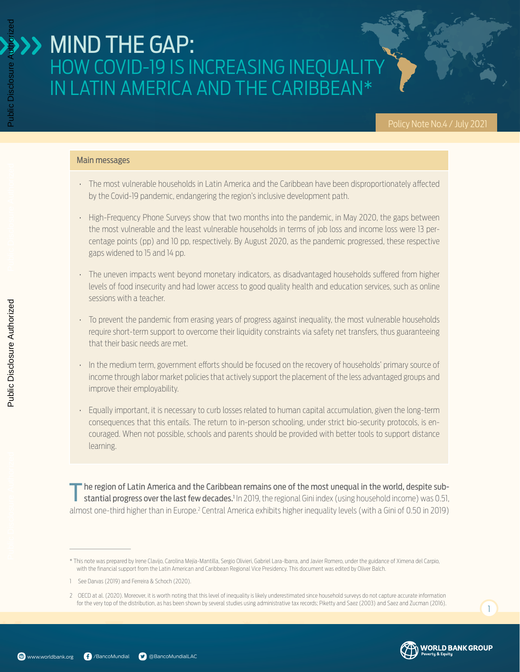#### Main messages

- The most vulnerable households in Latin America and the Caribbean have been disproportionately affected by the Covid-19 pandemic, endangering the region's inclusive development path.
- High-Frequency Phone Surveys show that two months into the pandemic, in May 2020, the gaps between the most vulnerable and the least vulnerable households in terms of job loss and income loss were 13 percentage points (pp) and 10 pp, respectively. By August 2020, as the pandemic progressed, these respective gaps widened to 15 and 14 pp.
- The uneven impacts went beyond monetary indicators, as disadvantaged households suffered from higher levels of food insecurity and had lower access to good quality health and education services, such as online sessions with a teacher.
- To prevent the pandemic from erasing years of progress against inequality, the most vulnerable households require short-term support to overcome their liquidity constraints via safety net transfers, thus guaranteeing that their basic needs are met.
- In the medium term, government efforts should be focused on the recovery of households' primary source of income through labor market policies that actively support the placement of the less advantaged groups and improve their employability.
- Equally important, it is necessary to curb losses related to human capital accumulation, given the long-term consequences that this entails. The return to in-person schooling, under strict bio-security protocols, is encouraged. When not possible, schools and parents should be provided with better tools to support distance learning.

Ine region of Latin America and the Caribbean remains one of the most unequal in the world, despite substantial progress over the last few decades.<sup>1</sup> In 2019, the regional Gini index (using household income) was 0.51, almost one-third higher than in Europe.<sup>2</sup> Central America exhibits higher inequality levels (with a Gini of 0.50 in 2019)

Public Disclosure Authorized

Public Disclosure Aut



<sup>\*</sup> This note was prepared by Irene Clavijo, Carolina Mejía-Mantilla, Sergio Olivieri, Gabriel Lara-Ibarra, and Javier Romero, under the guidance of Ximena del Carpio, with the financial support from the Latin American and Caribbean Regional Vice Presidency. This document was edited by Oliver Balch.

<sup>1</sup> See Darvas (2019) and Ferreira & Schoch (2020).

<sup>2</sup> OECD at al. (2020). Moreover, it is worth noting that this level of inequality is likely underestimated since household surveys do not capture accurate information for the very top of the distribution, as has been shown by several studies using administrative tax records; Piketty and Saez (2003) and Saez and Zucman (2016).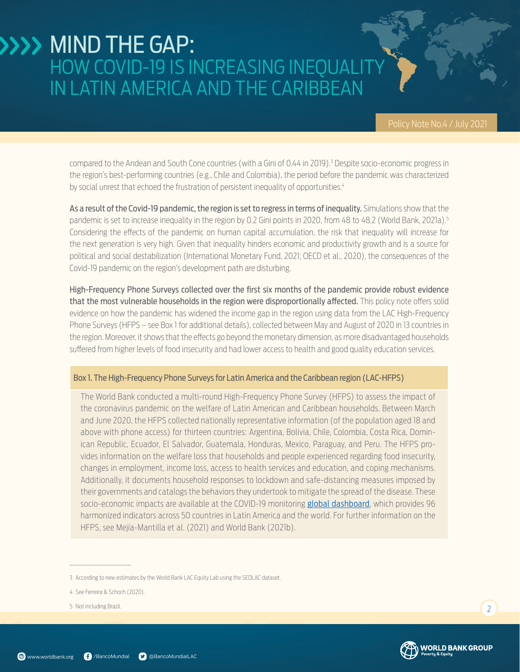compared to the Andean and South Cone countries (with a Gini of 0.44 in 2019).3 Despite socio-economic progress in the region's best-performing countries (e.g., Chile and Colombia), the period before the pandemic was characterized by social unrest that echoed the frustration of persistent inequality of opportunities.<sup>4</sup>

As a result of the Covid-19 pandemic, the region is set to regress in terms of inequality. Simulations show that the pandemic is set to increase inequality in the region by 0.2 Gini points in 2020, from 48 to 48.2 (World Bank, 2021a).<sup>5</sup> Considering the effects of the pandemic on human capital accumulation, the risk that inequality will increase for the next generation is very high. Given that inequality hinders economic and productivity growth and is a source for political and social destabilization (International Monetary Fund, 2021; OECD et al., 2020), the consequences of the Covid-19 pandemic on the region's development path are disturbing.

High-Frequency Phone Surveys collected over the first six months of the pandemic provide robust evidence that the most vulnerable households in the region were disproportionally affected. This policy note offers solid evidence on how the pandemic has widened the income gap in the region using data from the LAC High-Frequency Phone Surveys (HFPS – see Box 1 for additional details), collected between May and August of 2020 in 13 countries in the region. Moreover, it shows that the effects go beyond the monetary dimension, as more disadvantaged households suffered from higher levels of food insecurity and had lower access to health and good quality education services.

#### Box 1. The High-Frequency Phone Surveys for Latin America and the Caribbean region (LAC-HFPS)

The World Bank conducted a multi-round High-Frequency Phone Survey (HFPS) to assess the impact of the coronavirus pandemic on the welfare of Latin American and Caribbean households. Between March and June 2020, the HFPS collected nationally representative information (of the population aged 18 and above with phone access) for thirteen countries: Argentina, Bolivia, Chile, Colombia, Costa Rica, Dominican Republic, Ecuador, El Salvador, Guatemala, Honduras, Mexico, Paraguay, and Peru. The HFPS provides information on the welfare loss that households and people experienced regarding food insecurity, changes in employment, income loss, access to health services and education, and coping mechanisms. Additionally, it documents household responses to lockdown and safe-distancing measures imposed by their governments and catalogs the behaviors they undertook to mitigate the spread of the disease. These socio-economic impacts are available at the COVID-19 monitoring **[global dashboard](https://www.worldbank.org/en/data/interactive/2020/11/11/covid-19-high-frequency-monitoring-dashboard)**, which provides 96 harmonized indicators across 50 countries in Latin America and the world. For further information on the HFPS, see Mejía-Mantilla et al. (2021) and World Bank (2021b).



 $\overline{2}$ 

<sup>3</sup> According to new estimates by the World Bank LAC Equity Lab using the SEDLAC dataset.

<sup>4</sup> See Ferreira & Schoch (2020).

<sup>5</sup> Not including Brazil.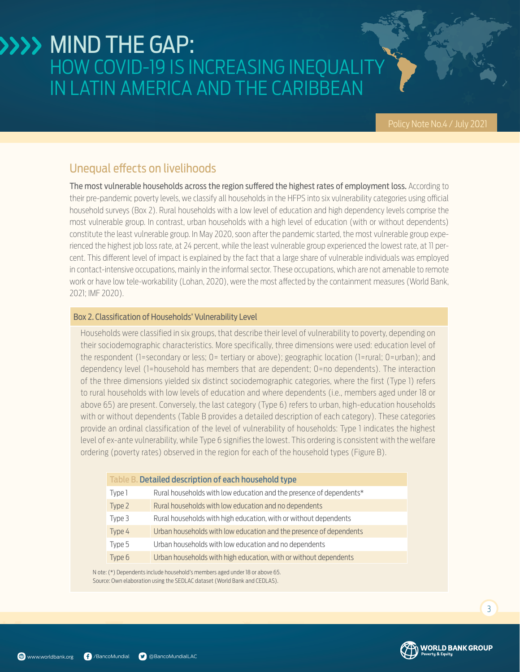### Unequal effects on livelihoods

The most vulnerable households across the region suffered the highest rates of employment loss. According to their pre-pandemic poverty levels, we classify all households in the HFPS into six vulnerability categories using official household surveys (Box 2). Rural households with a low level of education and high dependency levels comprise the most vulnerable group. In contrast, urban households with a high level of education (with or without dependents) constitute the least vulnerable group. In May 2020, soon after the pandemic started, the most vulnerable group experienced the highest job loss rate, at 24 percent, while the least vulnerable group experienced the lowest rate, at 11 percent. This different level of impact is explained by the fact that a large share of vulnerable individuals was employed in contact-intensive occupations, mainly in the informal sector. These occupations, which are not amenable to remote work or have low tele-workability (Lohan, 2020), were the most affected by the containment measures (World Bank, 2021; IMF 2020).

#### Box 2. Classification of Households' Vulnerability Level

Households were classified in six groups, that describe their level of vulnerability to poverty, depending on their sociodemographic characteristics. More specifically, three dimensions were used: education level of the respondent (1=secondary or less; 0= tertiary or above); geographic location (1=rural; 0=urban); and dependency level (1=household has members that are dependent; 0=no dependents). The interaction of the three dimensions yielded six distinct sociodemographic categories, where the first (Type 1) refers to rural households with low levels of education and where dependents (i.e., members aged under 18 or above 65) are present. Conversely, the last category (Type 6) refers to urban, high-education households with or without dependents (Table B provides a detailed description of each category). These categories provide an ordinal classification of the level of vulnerability of households: Type 1 indicates the highest level of ex-ante vulnerability, while Type 6 signifies the lowest. This ordering is consistent with the welfare ordering (poverty rates) observed in the region for each of the household types (Figure B).

| Table B. Detailed description of each household type |                                                                     |
|------------------------------------------------------|---------------------------------------------------------------------|
| Type 1                                               | Rural households with low education and the presence of dependents* |
| Type 2                                               | Rural households with low education and no dependents               |
| Type 3                                               | Rural households with high education, with or without dependents    |
| Type 4                                               | Urban households with low education and the presence of dependents  |
| Type 5                                               | Urban households with low education and no dependents               |
| Type 6                                               | Urban households with high education, with or without dependents    |

Source: Own elaboration using the SEDLAC dataset (World Bank and CEDLAS). N ote: (\*) Dependents include household's members aged under 18 or above 65.

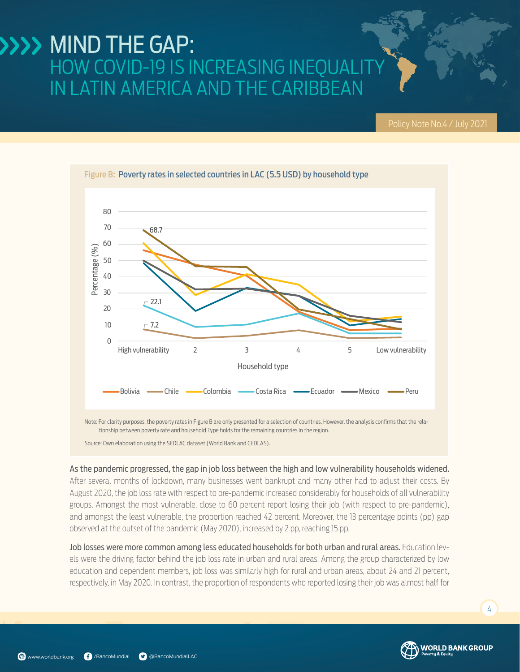

As the pandemic progressed, the gap in job loss between the high and low vulnerability households widened. After several months of lockdown, many businesses went bankrupt and many other had to adjust their costs. By August 2020, the job loss rate with respect to pre-pandemic increased considerably for households of all vulnerability groups. Amongst the most vulnerable, close to 60 percent report losing their job (with respect to pre-pandemic), and amongst the least vulnerable, the proportion reached 42 percent. Moreover, the 13 percentage points (pp) gap observed at the outset of the pandemic (May 2020), increased by 2 pp, reaching 15 pp.

Job losses were more common among less educated households for both urban and rural areas. Education levels were the driving factor behind the job loss rate in urban and rural areas. Among the group characterized by low education and dependent members, job loss was similarly high for rural and urban areas, about 24 and 21 percent, respectively, in May 2020. In contrast, the proportion of respondents who reported losing their job was almost half for

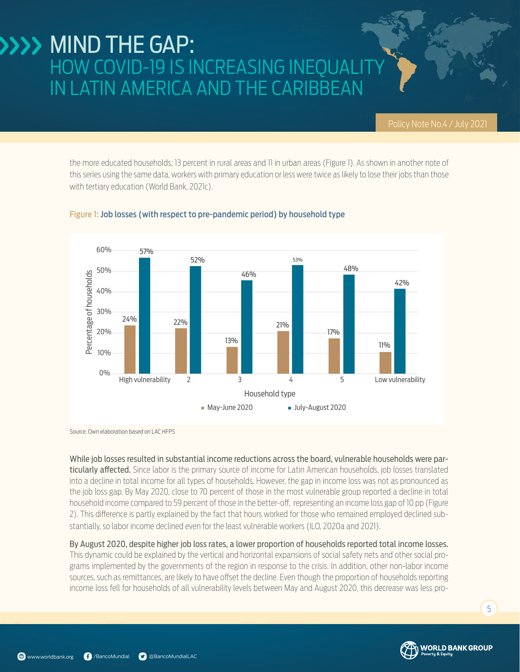the more educated households; 13 percent in rural areas and 11 in urban areas (Figure 1). As shown in another note of this series using the same data, workers with primary education or less were twice as likely to lose their jobs than those with tertiary education (World Bank, 2021c).



#### Figure 1: Job losses (with respect to pre-pandemic period) by household type

Source: Own elaboration based on LAC HFPS

While job losses resulted in substantial income reductions across the board, vulnerable households were particularly affected. Since labor is the primary source of income for Latin American households, job losses translated into a decline in total income for all types of households. However, the gap in income loss was not as pronounced as the job loss gap. By May 2020, close to 70 percent of those in the most vulnerable group reported a decline in total household income compared to 59 percent of those in the better-off, representing an income loss gap of 10 pp (Figure 2). This difference is partly explained by the fact that hours worked for those who remained employed declined substantially, so labor income declined even for the least vulnerable workers (ILO, 2020a and 2021).

By August 2020, despite higher job loss rates, a lower proportion of households reported total income losses. This dynamic could be explained by the vertical and horizontal expansions of social safety nets and other social programs implemented by the governments of the region in response to the crisis. In addition, other non-labor income sources, such as remittances, are likely to have offset the decline. Even though the proportion of households reporting income loss fell for households of all vulnerability levels between May and August 2020, this decrease was less pro-

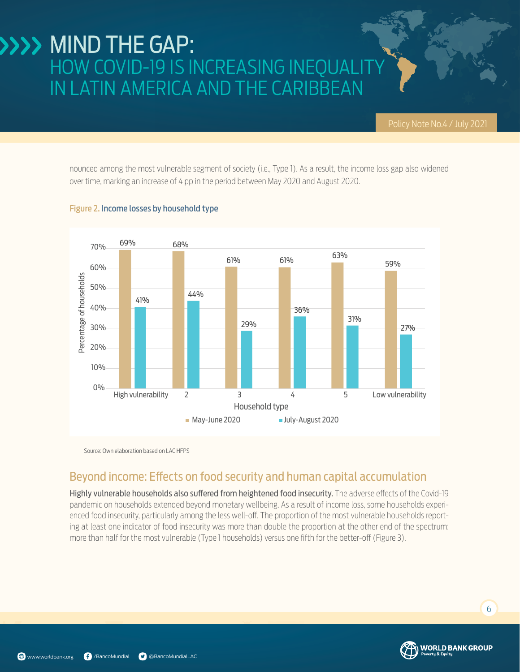nounced among the most vulnerable segment of society (i.e., Type 1). As a result, the income loss gap also widened over time, marking an increase of 4 pp in the period between May 2020 and August 2020.



#### Figure 2. Income losses by household type

Source: Own elaboration based on LAC HFPS

### Beyond income: Effects on food security and human capital accumulation

Highly vulnerable households also suffered from heightened food insecurity. The adverse effects of the Covid-19 pandemic on households extended beyond monetary wellbeing. As a result of income loss, some households experienced food insecurity, particularly among the less well-off. The proportion of the most vulnerable households reporting at least one indicator of food insecurity was more than double the proportion at the other end of the spectrum: more than half for the most vulnerable (Type 1 households) versus one fifth for the better-off (Figure 3).

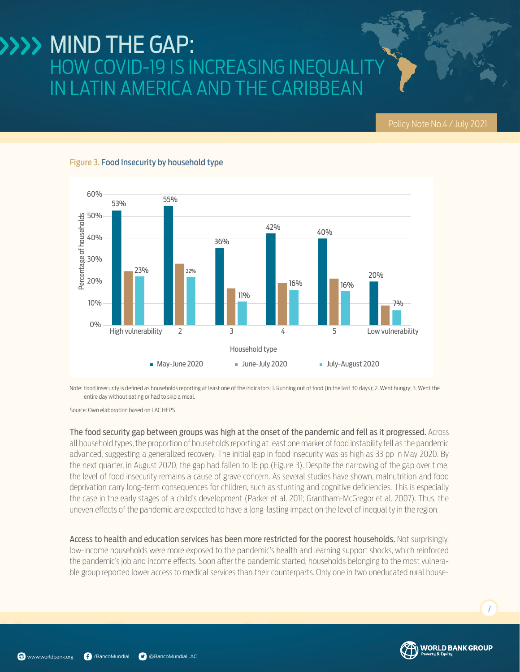#### 60% 53% 55% 50% Percentage of households Percentage of households  $42\%$   $40\%$ 40% 36% 30% 20% 23% 22% 20% 16% 16% 11% 10% 7% 0% High vulnerability 2 3 4 5 Low vulnerability Household type May-June 2020 June-July 2020 July-August 2020

#### Figure 3. Food Insecurity by household type

Note: Food insecurity is defined as households reporting at least one of the indicators: 1. Running out of food (in the last 30 days); 2. Went hungry; 3. Went the entire day without eating or had to skip a meal.

Source: Own elaboration based on LAC HFPS

The food security gap between groups was high at the onset of the pandemic and fell as it progressed. Across all household types, the proportion of households reporting at least one marker of food instability fell as the pandemic advanced, suggesting a generalized recovery. The initial gap in food insecurity was as high as 33 pp in May 2020. By the next quarter, in August 2020, the gap had fallen to 16 pp (Figure 3). Despite the narrowing of the gap over time, the level of food insecurity remains a cause of grave concern. As several studies have shown, malnutrition and food deprivation carry long-term consequences for children, such as stunting and cognitive deficiencies. This is especially the case in the early stages of a child's development (Parker et al. 2011; Grantham-McGregor et al. 2007). Thus, the uneven effects of the pandemic are expected to have a long-lasting impact on the level of inequality in the region.

Access to health and education services has been more restricted for the poorest households. Not surprisingly, low-income households were more exposed to the pandemic's health and learning support shocks, which reinforced the pandemic's job and income effects. Soon after the pandemic started, households belonging to the most vulnerable group reported lower access to medical services than their counterparts. Only one in two uneducated rural house-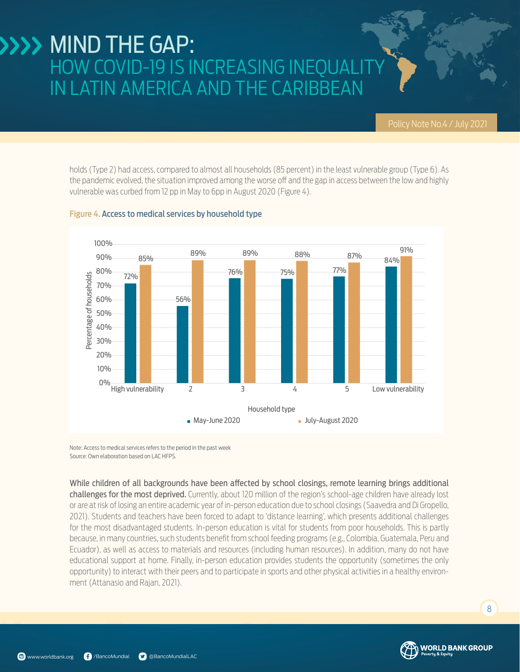holds (Type 2) had access, compared to almost all households (85 percent) in the least vulnerable group (Type 6). As the pandemic evolved, the situation improved among the worse off and the gap in access between the low and highly vulnerable was curbed from 12 pp in May to 6pp in August 2020 (Figure 4).



#### Figure 4. Access to medical services by household type

Note: Access to medical services refers to the period in the past week Source: Own elaboration based on LAC HFPS.

While children of all backgrounds have been affected by school closings, remote learning brings additional challenges for the most deprived. Currently, about 120 million of the region's school-age children have already lost or are at risk of losing an entire academic year of in-person education due to school closings (Saavedra and Di Gropello, 2021). Students and teachers have been forced to adapt to 'distance learning', which presents additional challenges for the most disadvantaged students. In-person education is vital for students from poor households. This is partly because, in many countries, such students benefit from school feeding programs (e.g., Colombia, Guatemala, Peru and Ecuador), as well as access to materials and resources (including human resources). In addition, many do not have educational support at home. Finally, in-person education provides students the opportunity (sometimes the only opportunity) to interact with their peers and to participate in sports and other physical activities in a healthy environment (Attanasio and Rajan, 2021).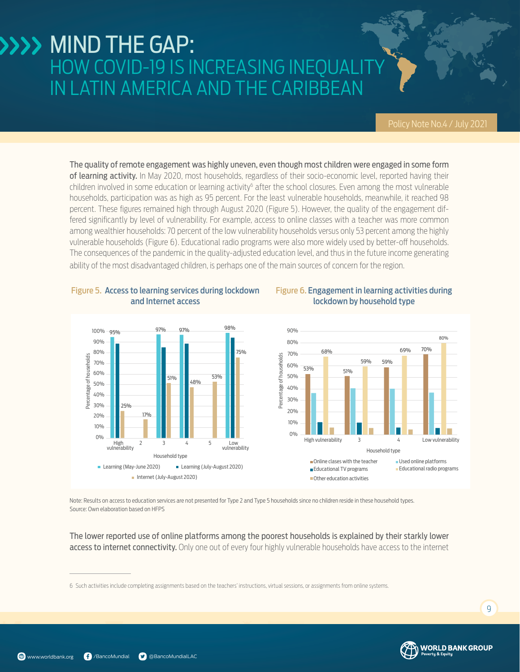Figure 6. Engagement in learning activities during lockdown by household type

The quality of remote engagement was highly uneven, even though most children were engaged in some form of learning activity. In May 2020, most households, regardless of their socio-economic level, reported having their children involved in some education or learning activity<sup>6</sup> after the school closures. Even among the most vulnerable households, participation was as high as 95 percent. For the least vulnerable households, meanwhile, it reached 98 percent. These figures remained high through August 2020 (Figure 5). However, the quality of the engagement differed significantly by level of vulnerability. For example, access to online classes with a teacher was more common among wealthier households: 70 percent of the low vulnerability households versus only 53 percent among the highly vulnerable households (Figure 6). Educational radio programs were also more widely used by better-off households. The consequences of the pandemic in the quality-adjusted education level, and thus in the future income generating ability of the most disadvantaged children, is perhaps one of the main sources of concern for the region.



#### Figure 5. Access to learning services during lockdown and Internet access

Note: Results on access to education services are not presented for Type 2 and Type 5 households since no children reside in these household types. Source: Own elaboration based on HFPS

The lower reported use of online platforms among the poorest households is explained by their starkly lower access to internet connectivity. Only one out of every four highly vulnerable households have access to the internet

<sup>6</sup> Such activities include completing assignments based on the teachers' instructions, virtual sessions, or assignments from online systems.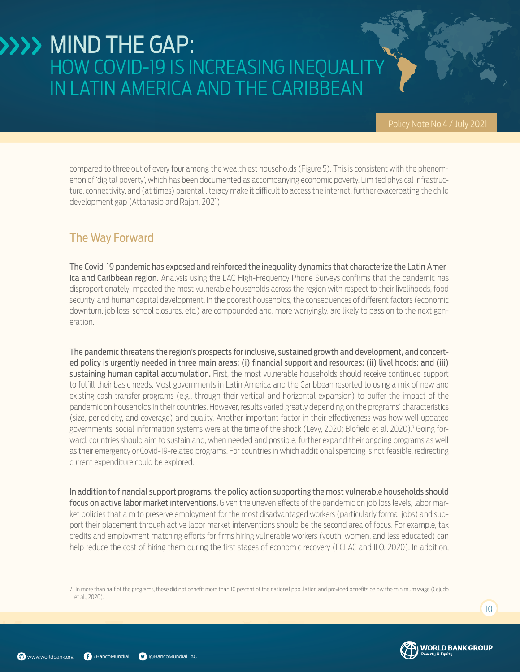compared to three out of every four among the wealthiest households (Figure 5). This is consistent with the phenomenon of 'digital poverty', which has been documented as accompanying economic poverty. Limited physical infrastructure, connectivity, and (at times) parental literacy make it difficult to access the internet, further exacerbating the child development gap (Attanasio and Rajan, 2021).

### The Way Forward

The Covid-19 pandemic has exposed and reinforced the inequality dynamics that characterize the Latin Amer**ica and Caribbean region.** Analysis using the LAC High-Frequency Phone Surveys confirms that the pandemic has disproportionately impacted the most vulnerable households across the region with respect to their livelihoods, food security, and human capital development. In the poorest households, the consequences of different factors (economic downturn, job loss, school closures, etc.) are compounded and, more worryingly, are likely to pass on to the next generation.

The pandemic threatens the region's prospects for inclusive, sustained growth and development, and concerted policy is urgently needed in three main areas: (i) financial support and resources; (ii) livelihoods; and (iii) sustaining human capital accumulation. First, the most vulnerable households should receive continued support to fulfill their basic needs. Most governments in Latin America and the Caribbean resorted to using a mix of new and existing cash transfer programs (e.g., through their vertical and horizontal expansion) to buffer the impact of the pandemic on households in their countries. However, results varied greatly depending on the programs' characteristics (size, periodicity, and coverage) and quality. Another important factor in their effectiveness was how well updated governments' social information systems were at the time of the shock (Levy, 2020; Blofield et al. 2020).7 Going forward, countries should aim to sustain and, when needed and possible, further expand their ongoing programs as well as their emergency or Covid-19-related programs. For countries in which additional spending is not feasible, redirecting current expenditure could be explored.

In addition to financial support programs, the policy action supporting the most vulnerable households should focus on active labor market interventions. Given the uneven effects of the pandemic on job loss levels, labor market policies that aim to preserve employment for the most disadvantaged workers (particularly formal jobs) and support their placement through active labor market interventions should be the second area of focus. For example, tax credits and employment matching efforts for firms hiring vulnerable workers (youth, women, and less educated) can help reduce the cost of hiring them during the first stages of economic recovery (ECLAC and ILO, 2020). In addition,

<sup>7</sup> In more than half of the programs, these did not benefit more than 10 percent of the national population and provided benefits below the minimum wage (Cejudo et al., 2020).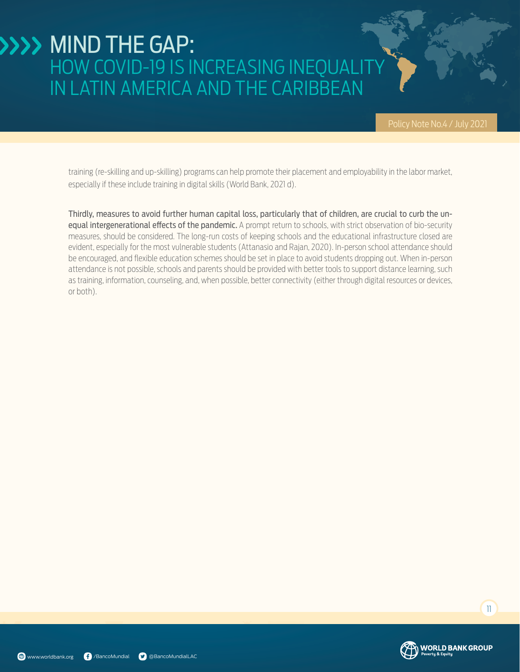training (re-skilling and up-skilling) programs can help promote their placement and employability in the labor market, especially if these include training in digital skills (World Bank, 2021 d).

Thirdly, measures to avoid further human capital loss, particularly that of children, are crucial to curb the unequal intergenerational effects of the pandemic. A prompt return to schools, with strict observation of bio-security measures, should be considered. The long-run costs of keeping schools and the educational infrastructure closed are evident, especially for the most vulnerable students (Attanasio and Rajan, 2020). In-person school attendance should be encouraged, and flexible education schemes should be set in place to avoid students dropping out. When in-person attendance is not possible, schools and parents should be provided with better tools to support distance learning, such as training, information, counseling, and, when possible, better connectivity (either through digital resources or devices, or both).

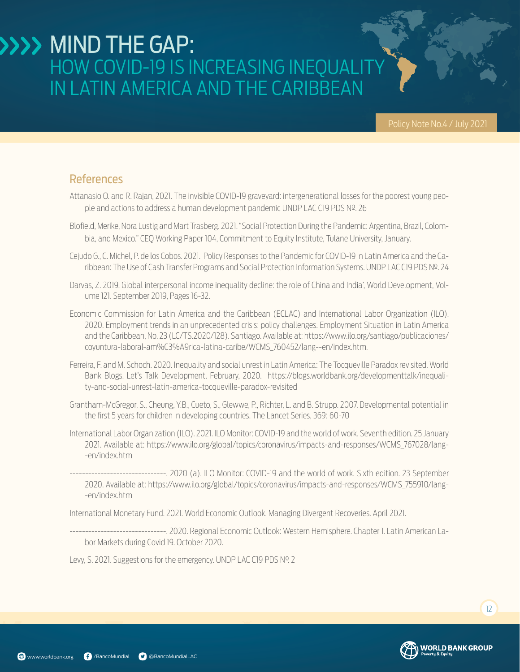### References

- Attanasio O. and R. Rajan, 2021. The invisible COVID-19 graveyard: intergenerational losses for the poorest young people and actions to address a human development pandemic UNDP LAC C19 PDS Nº. 26
- Blofield, Merike, Nora Lustig and Mart Trasberg. 2021."Social Protection During the Pandemic: Argentina, Brazil, Colombia, and Mexico." CEQ Working Paper 104, Commitment to Equity Institute, Tulane University, January.
- Cejudo G., C. Michel, P. de los Cobos. 2021. Policy Responses to the Pandemic for COVID-19 in Latin America and the Caribbean: The Use of Cash Transfer Programs and Social Protection Information Systems. UNDP LAC C19 PDS Nº. 24
- Darvas, Z. 2019. Global interpersonal income inequality decline: the role of China and India', World Development, Volume 121. September 2019, Pages 16-32.
- Economic Commission for Latin America and the Caribbean (ECLAC) and International Labor Organization (ILO). 2020. Employment trends in an unprecedented crisis: policy challenges. Employment Situation in Latin America and the Caribbean, No. 23 (LC/TS.2020/128). Santiago. Available at: https://www.ilo.org/santiago/publicaciones/ coyuntura-laboral-am%C3%A9rica-latina-caribe/WCMS\_760452/lang--en/index.htm.
- Ferreira, F. and M. Schoch. 2020. Inequality and social unrest in Latin America: The Tocqueville Paradox revisited. World Bank Blogs. Let's Talk Development. February, 2020. https://blogs.worldbank.org/developmenttalk/inequality-and-social-unrest-latin-america-tocqueville-paradox-revisited
- Grantham-McGregor, S., Cheung, Y.B., Cueto, S., Glewwe, P., Richter, L. and B. Strupp. 2007. Developmental potential in the first 5 years for children in developing countries. The Lancet Series, 369: 60-70
- International Labor Organization (ILO). 2021. ILO Monitor: COVID-19 and the world of work. Seventh edition. 25 January 2021. Available at: https://www.ilo.org/global/topics/coronavirus/impacts-and-responses/WCMS\_767028/lang- -en/index.htm
- -------------------------------. 2020 (a). ILO Monitor: COVID-19 and the world of work. Sixth edition. 23 September 2020. Available at: https://www.ilo.org/global/topics/coronavirus/impacts-and-responses/WCMS\_755910/lang- -en/index.htm

International Monetary Fund. 2021. World Economic Outlook. Managing Divergent Recoveries. April 2021.

-------------------------------. 2020. Regional Economic Outlook: Western Hemisphere. Chapter 1. Latin American Labor Markets during Covid 19. October 2020.

Levy, S. 2021. Suggestions for the emergency. UNDP LAC C19 PDS Nº. 2